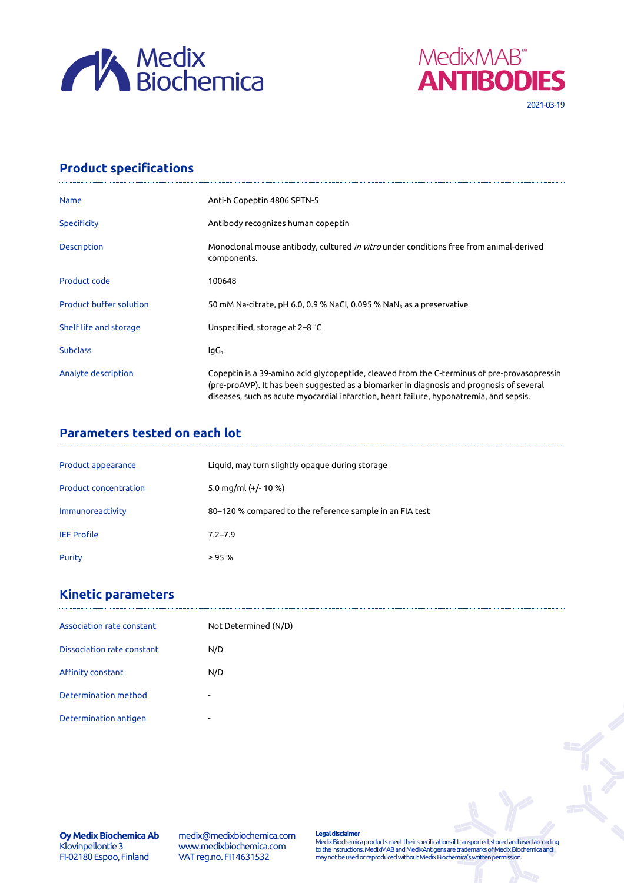



# **Product specifications**

| <b>Name</b>                    | Anti-h Copeptin 4806 SPTN-5                                                                                                                                                                                                                                                        |
|--------------------------------|------------------------------------------------------------------------------------------------------------------------------------------------------------------------------------------------------------------------------------------------------------------------------------|
| <b>Specificity</b>             | Antibody recognizes human copeptin                                                                                                                                                                                                                                                 |
| Description                    | Monoclonal mouse antibody, cultured in vitro under conditions free from animal-derived<br>components.                                                                                                                                                                              |
| Product code                   | 100648                                                                                                                                                                                                                                                                             |
| <b>Product buffer solution</b> | 50 mM Na-citrate, pH 6.0, 0.9 % NaCl, 0.095 % NaN <sub>3</sub> as a preservative                                                                                                                                                                                                   |
| Shelf life and storage         | Unspecified, storage at 2–8 °C                                                                                                                                                                                                                                                     |
| <b>Subclass</b>                | $IqG_1$                                                                                                                                                                                                                                                                            |
| Analyte description            | Copeptin is a 39-amino acid glycopeptide, cleaved from the C-terminus of pre-provasopressin<br>(pre-proAVP). It has been suggested as a biomarker in diagnosis and prognosis of several<br>diseases, such as acute myocardial infarction, heart failure, hyponatremia, and sepsis. |

### **Parameters tested on each lot**

| Product appearance           | Liquid, may turn slightly opaque during storage          |
|------------------------------|----------------------------------------------------------|
| <b>Product concentration</b> | 5.0 mg/ml $(+/- 10 %$                                    |
| Immunoreactivity             | 80-120 % compared to the reference sample in an FIA test |
| <b>IEF Profile</b>           | $7.2 - 7.9$                                              |
| Purity                       | $\geq$ 95 %                                              |

## **Kinetic parameters**

| Association rate constant  | Not Determined (N/D)     |
|----------------------------|--------------------------|
| Dissociation rate constant | N/D                      |
| Affinity constant          | N/D                      |
| Determination method       | $\overline{\phantom{a}}$ |
| Determination antigen      | $\overline{a}$           |

**Oy Medix Biochemica Ab** Klovinpellontie 3 FI-02180 Espoo, Finland

medix@medixbiochemica.com www.medixbiochemica.com VAT reg.no. FI14631532

**Legal disclaimer** Medix Biochemica products meet their specifications if transported, stored and used according to the instructions. MedixMAB and MedixAntigens are trademarks of Medix Biochemica and may not be used or reproduced without Medix Biochemica's written permission.